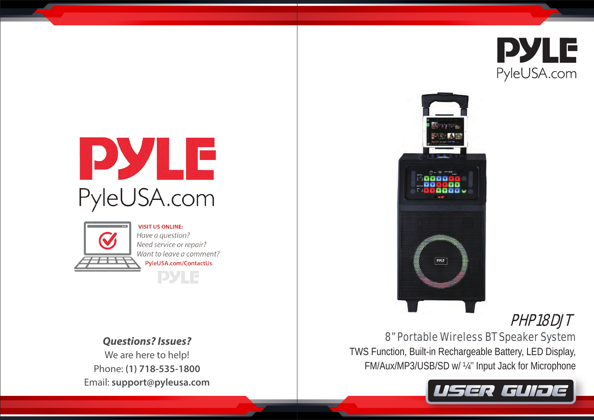

# PYLE PyleUSA.com



**VISIT US ONLINE:** Have a question? Need service or repair? Want to leave a comment? PyleUSA.com/ContactUs **PYLE** 

*Questions? Issues?* We are here to help! Phone: **(1) 718-535-1800**

Email: **support@pyleusa.com**



# PHP18DJT

8" Portable Wireless BT Speaker System

TWS Function, Built-in Rechargeable Battery, LED Display, FM/Aux/MP3/USB/SD w/ ¼'' Input Jack for Microphone

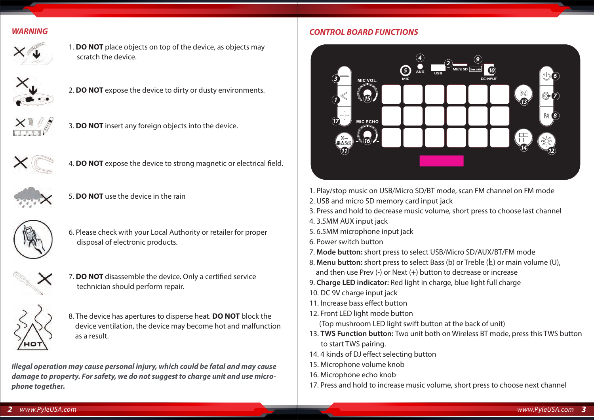#### *WARNING*



1. **DO NOT** place objects on top of the device, as objects may scratch the device.



2. **DO NOT** expose the device to dirty or dusty environments.



3. **DO NOT** insert any foreign objects into the device.



4. **DO NOT** expose the device to strong magnetic or electrical field.



5. **DO NOT** use the device in the rain



6. Please check with your Local Authority or retailer for proper disposaI of electronic products.



7. **DO NOT** disassemble the device. Only a certified service technician should perform repair.



8. The device has apertures to disperse heat. **DO NOT** block the device ventilation, the device may become hot and malfunction as a result.

*Illegal operation may cause personal injury, which could be fatal and may cause damage to property. For safety, we do not suggest to charge unit and use microphone together.*

#### *CONTROL BOARD FUNCTIONS*



- 1. Play/stop music on USB/Micro SD/BT mode, scan FM channel on FM mode
- 2. USB and micro SD memory card input jack
- 3. Press and hold to decrease music volume, short press to choose last channel
- 4. 3.5MM AUX input jack
- 5. 6.5MM microphone input jack
- 6. Power switch button
- 7. **Mode button:** short press to select USB/Micro SD/AUX/BT/FM mode
- 8. Menu button: short press to select Bass (b) or Treble ( $E$ ) or main volume (U), and then use Prev (-) or Next (+) button to decrease or increase
- 9. **Charge LED indicator:** Red light in charge, blue light full charge
- 10. DC 9V charge input jack
- 11. Increase bass effect button
- 12. Front LED light mode button

(Top mushroom LED light swift button at the back of unit)

- 13. **TWS Function button:** Two unit both on Wireless BT mode, press this TWS button to start TWS pairing.
- 14. 4 kinds of DJ effect selecting button
- 15. Microphone volume knob
- 16. Microphone echo knob
- 17. Press and hold to increase music volume, short press to choose next channel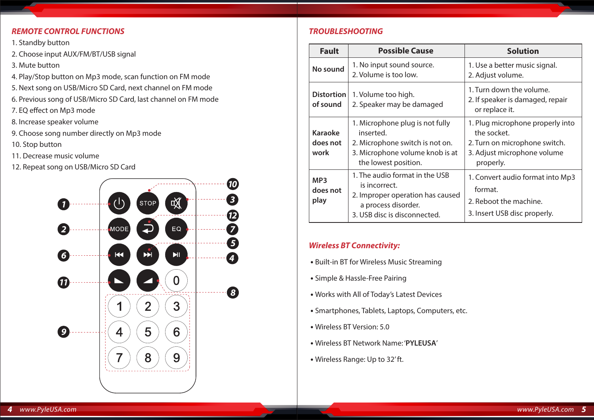#### *REMOTE CONTROL FUNCTIONS*

- 1. Standby button
- 2. Choose input AUX/FM/BT/USB signal
- 3. Mute button
- 4. Play/Stop button on Mp3 mode, scan function on FM mode
- 5. Next song on USB/Micro SD Card, next channel on FM mode
- 6. Previous song of USB/Micro SD Card, last channel on FM mode
- 7. EQ effect on Mp3 mode
- 8. Increase speaker volume
- 9. Choose song number directly on Mp3 mode
- 10. Stop button
- 11. Decrease music volume
- 12. Repeat song on USB/Micro SD Card



#### *TROUBLESHOOTING*

| <b>Fault</b>                        | <b>Possible Cause</b>                                                                                                                      | <b>Solution</b>                                                                                                              |
|-------------------------------------|--------------------------------------------------------------------------------------------------------------------------------------------|------------------------------------------------------------------------------------------------------------------------------|
| No sound                            | 1. No input sound source.<br>2. Volume is too low.                                                                                         | 1. Use a better music signal.<br>2. Adjust volume.                                                                           |
| Distortion<br>of sound              | 1. Volume too high.<br>2. Speaker may be damaged                                                                                           | 1. Turn down the volume.<br>2. If speaker is damaged, repair<br>or replace it.                                               |
| <b>Karaoke</b><br>does not<br>work  | 1. Microphone plug is not fully<br>inserted.<br>2. Microphone switch is not on.<br>3. Microphone volume knob is at<br>the lowest position. | 1. Plug microphone properly into<br>the socket.<br>2. Turn on microphone switch.<br>3. Adjust microphone volume<br>properly. |
| MP <sub>3</sub><br>does not<br>play | 1. The audio format in the USB<br>is incorrect.<br>2. Improper operation has caused<br>a process disorder.<br>3. USB disc is disconnected. | 1. Convert audio format into Mp3<br>format.<br>2. Reboot the machine.<br>3. Insert USB disc properly.                        |

#### *Wireless BT Connectivity:*

- Built-in BT for Wireless Music Streaming
- Simple & Hassle-Free Pairing
- Works with All of Today's Latest Devices
- Smartphones, Tablets, Laptops, Computers, etc.
- Wireless BT Version: 5.0
- Wireless BT Network Name: '**PYLEUSA**'
- Wireless Range: Up to 32' ft.